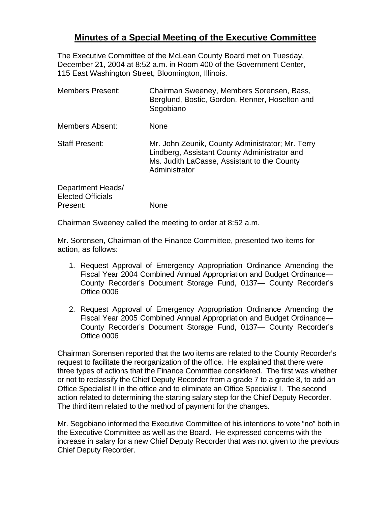## **Minutes of a Special Meeting of the Executive Committee**

The Executive Committee of the McLean County Board met on Tuesday, December 21, 2004 at 8:52 a.m. in Room 400 of the Government Center, 115 East Washington Street, Bloomington, Illinois.

| Chairman Sweeney, Members Sorensen, Bass,<br>Berglund, Bostic, Gordon, Renner, Hoselton and<br>Segobiano                                                         |
|------------------------------------------------------------------------------------------------------------------------------------------------------------------|
| None                                                                                                                                                             |
| Mr. John Zeunik, County Administrator; Mr. Terry<br>Lindberg, Assistant County Administrator and<br>Ms. Judith LaCasse, Assistant to the County<br>Administrator |
| <b>None</b>                                                                                                                                                      |
|                                                                                                                                                                  |

Chairman Sweeney called the meeting to order at 8:52 a.m.

Mr. Sorensen, Chairman of the Finance Committee, presented two items for action, as follows:

- 1. Request Approval of Emergency Appropriation Ordinance Amending the Fiscal Year 2004 Combined Annual Appropriation and Budget Ordinance— County Recorder's Document Storage Fund, 0137— County Recorder's Office 0006
- 2. Request Approval of Emergency Appropriation Ordinance Amending the Fiscal Year 2005 Combined Annual Appropriation and Budget Ordinance— County Recorder's Document Storage Fund, 0137— County Recorder's Office 0006

Chairman Sorensen reported that the two items are related to the County Recorder's request to facilitate the reorganization of the office. He explained that there were three types of actions that the Finance Committee considered. The first was whether or not to reclassify the Chief Deputy Recorder from a grade 7 to a grade 8, to add an Office Specialist II in the office and to eliminate an Office Specialist I. The second action related to determining the starting salary step for the Chief Deputy Recorder. The third item related to the method of payment for the changes.

Mr. Segobiano informed the Executive Committee of his intentions to vote "no" both in the Executive Committee as well as the Board. He expressed concerns with the increase in salary for a new Chief Deputy Recorder that was not given to the previous Chief Deputy Recorder.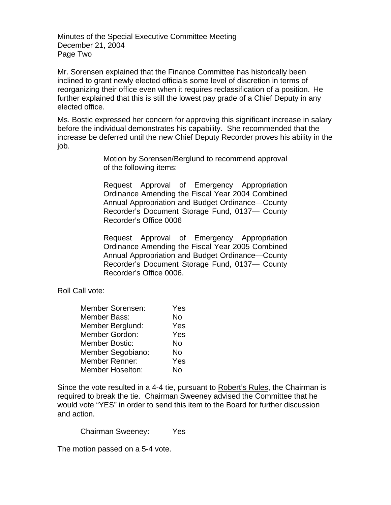Minutes of the Special Executive Committee Meeting December 21, 2004 Page Two

Mr. Sorensen explained that the Finance Committee has historically been inclined to grant newly elected officials some level of discretion in terms of reorganizing their office even when it requires reclassification of a position. He further explained that this is still the lowest pay grade of a Chief Deputy in any elected office.

Ms. Bostic expressed her concern for approving this significant increase in salary before the individual demonstrates his capability. She recommended that the increase be deferred until the new Chief Deputy Recorder proves his ability in the job.

> Motion by Sorensen/Berglund to recommend approval of the following items:

> Request Approval of Emergency Appropriation Ordinance Amending the Fiscal Year 2004 Combined Annual Appropriation and Budget Ordinance—County Recorder's Document Storage Fund, 0137— County Recorder's Office 0006

> Request Approval of Emergency Appropriation Ordinance Amending the Fiscal Year 2005 Combined Annual Appropriation and Budget Ordinance—County Recorder's Document Storage Fund, 0137— County Recorder's Office 0006.

Roll Call vote:

| <b>Member Sorensen:</b> | Yes |
|-------------------------|-----|
| Member Bass:            | No  |
| Member Berglund:        | Yes |
| <b>Member Gordon:</b>   | Yes |
| <b>Member Bostic:</b>   | No  |
| Member Segobiano:       | No  |
| <b>Member Renner:</b>   | Yes |
| <b>Member Hoselton:</b> | N٥  |

Since the vote resulted in a 4-4 tie, pursuant to Robert's Rules, the Chairman is required to break the tie. Chairman Sweeney advised the Committee that he would vote "YES" in order to send this item to the Board for further discussion and action.

Chairman Sweeney: Yes

The motion passed on a 5-4 vote.